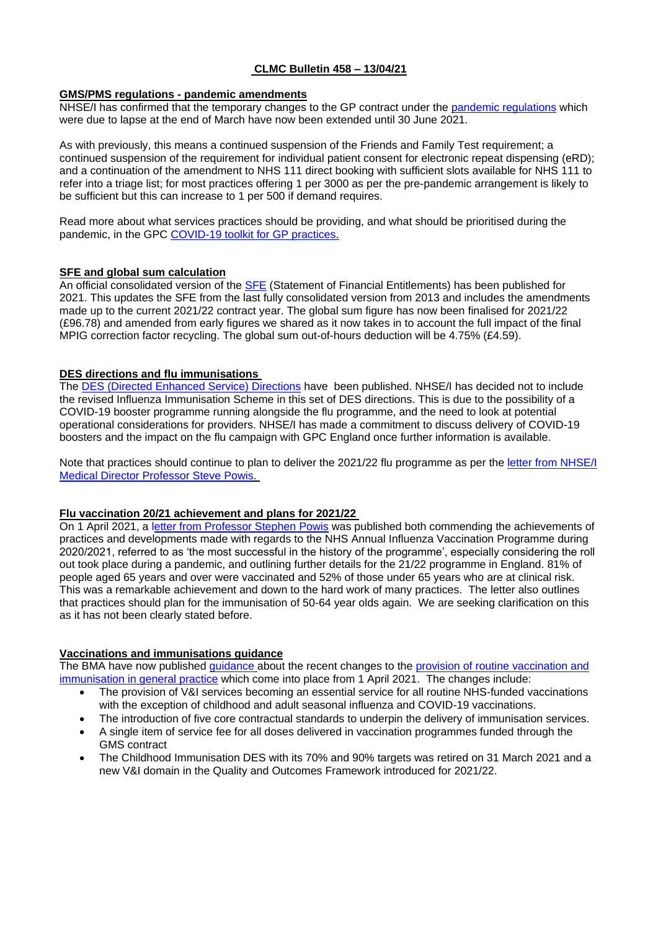# **CLMC Bulletin 458 – 13/04/21**

### **GMS/PMS regulations - pandemic amendments**

NHSE/I has confirmed that the temporary changes to the GP contract under the [pandemic regulations](https://www.legislation.gov.uk/uksi/2020/351/made) which were due to lapse at the end of March have now been extended until 30 June 2021.

As with previously, this means a continued suspension of the Friends and Family Test requirement; a continued suspension of the requirement for individual patient consent for electronic repeat dispensing (eRD); and a continuation of the amendment to NHS 111 direct booking with sufficient slots available for NHS 111 to refer into a triage list; for most practices offering 1 per 3000 as per the pre-pandemic arrangement is likely to be sufficient but this can increase to 1 per 500 if demand requires.

Read more about what services practices should be providing, and what should be prioritised during the pandemic, in the GPC [COVID-19 toolkit for GP practices.](https://www.bma.org.uk/advice-and-support/covid-19/gp-practices/covid-19-toolkit-for-gps-and-gp-practices/service-provision)

### **SFE and global sum calculation**

An official consolidated version of the [SFE](https://assets.publishing.service.gov.uk/government/uploads/system/uploads/attachment_data/file/975395/GMS_SFE_2021.pdf) (Statement of Financial Entitlements) has been published for 2021. This updates the SFE from the last fully consolidated version from 2013 and includes the amendments made up to the current 2021/22 contract year. The global sum figure has now been finalised for 2021/22 (£96.78) and amended from early figures we shared as it now takes in to account the full impact of the final MPIG correction factor recycling. The global sum out-of-hours deduction will be 4.75% (£4.59).

### **DES directions and flu immunisations**

The [DES \(Directed Enhanced Service\) Directions](https://www.gov.uk/government/publications/nhs-primary-medical-services-directions-2013) have been published. NHSE/I has decided not to include the revised Influenza Immunisation Scheme in this set of DES directions. This is due to the possibility of a COVID-19 booster programme running alongside the flu programme, and the need to look at potential operational considerations for providers. NHSE/I has made a commitment to discuss delivery of COVID-19 boosters and the impact on the flu campaign with GPC England once further information is available.

Note that practices should continue to plan to deliver the 2021/22 flu programme as per the letter from NHSE/I [Medical Director Professor Steve Powis.](https://www.england.nhs.uk/wp-content/uploads/2021/02/C1076-nhsei-flu-reimbursement-letter-3-feb-21.pdf)

# **Flu vaccination 20/21 achievement and plans for 2021/22**

On 1 April 2021, a [letter from Professor Stephen Powis](https://www.england.nhs.uk/publication/achievements-and-developments-during-2020-21-flu-season/) was published both commending the achievements of practices and developments made with regards to the NHS Annual Influenza Vaccination Programme during 2020/2021, referred to as 'the most successful in the history of the programme', especially considering the roll out took place during a pandemic, and outlining further details for the 21/22 programme in England. 81% of people aged 65 years and over were vaccinated and 52% of those under 65 years who are at clinical risk. This was a remarkable achievement and down to the hard work of many practices. The letter also outlines that practices should plan for the immunisation of 50-64 year olds again. We are seeking clarification on this as it has not been clearly stated before.

#### **Vaccinations and immunisations guidance**

The BMA have now published [guidance](https://bma-mail.org.uk/t/JVX-7BJ66-JCJOU4-4EJOSO-1/c.aspx) about the recent changes to the [provision of routine vaccination and](https://bma-mail.org.uk/t/JVX-7BJ66-JCJOU4-4EK82T-1/c.aspx)  [immunisation in general practice](https://bma-mail.org.uk/t/JVX-7BJ66-JCJOU4-4EK82T-1/c.aspx) which come into place from 1 April 2021. The changes include:

- The provision of V&I services becoming an essential service for all routine NHS-funded vaccinations with the exception of childhood and adult seasonal influenza and COVID-19 vaccinations.
- The introduction of five core contractual standards to underpin the delivery of immunisation services.
- A single item of service fee for all doses delivered in vaccination programmes funded through the GMS contract
- The Childhood Immunisation DES with its 70% and 90% targets was retired on 31 March 2021 and a new V&I domain in the Quality and Outcomes Framework introduced for 2021/22.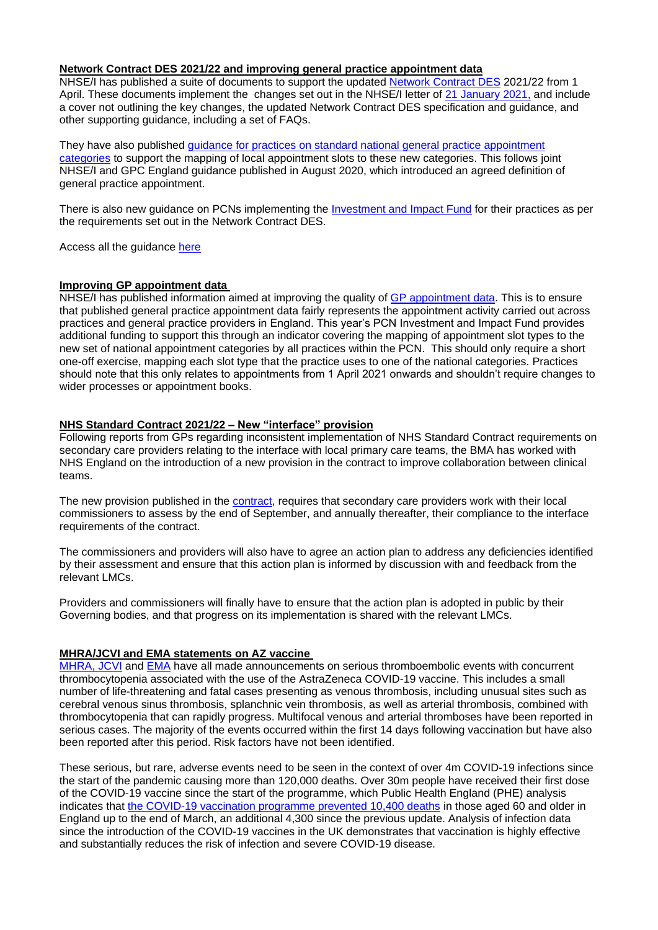### **Network Contract DES 2021/22 and improving general practice appointment data**

NHSE/I has published a suite of documents to support the updated [Network Contract DES](https://www.england.nhs.uk/gp/investment/gp-contract/#des-21-22) 2021/22 from 1 April. These documents implement the changes set out in the NHSE/I letter of [21 January 2021,](http://tracking.vuelio.co.uk/tracking/click?d=HgqS_Mx1iIY6YegCcwb5-ETZDB1_aGaae4FoPkUi2Hr-QT47lAPNVXIZkUYCTDl4pyZUNIW3Q9Ppr2pBxgkzqjP5BmoFH74OPnp0ctQdfTX76Z0J2Y7c8Y3Xk4nuKVvozgNViFGPIKii0cZhBxFagcuOmpFcRmerjuPCMnSNR-DPplWCJ222Qc9JGFIcUOPRXJvnLE04Ac4PzN0cEC7yhc57a7Jl8b3dx72DQlEYTbVpzBPLfdp67mYQKqNv3H5P0KN9PiaQ9Iu3kJWRWPcGPFCFpvrZ99kr-DHMLSPMjayajCbZfHH7hU0Y0mPcSYmE3QP3EDz4Qgf92yZapGDnm4PZM6SRioBMBXWcevYXcLzIUfoes__XwGNoJ0iSbCSDs1wtPtyAVBoMCKuI-7heSV2cXSCbYl25ZQU0w4tSA5M23wAQ5eBbrSiWx_mioijRRw2) and include a cover not outlining the key changes, the updated Network Contract DES specification and guidance, and other supporting guidance, including a set of FAQs.

They have also published [guidance for practices on standard national general practice appointment](http://tracking.vuelio.co.uk/tracking/click?d=HgqS_Mx1iIY6YegCcwb5-ETZDB1_aGaae4FoPkUi2Hr-QT47lAPNVXIZkUYCTDl4Efc4pdskA3zIx7UpQDeBLQcZSvzy_DVyeshVpdz8kVky12K7Gdvd3bgNRA1CsdVOaitfY9PVYoh97jnRpQAwENfKHovl3BJHfn4bILTP7oN_uEkdh4RYQglnqJGmc4N4uSZ9233vcBhf974lLKSr0AWaxk4bb_x3ci_RFMBOhm7EfmJg_zGbiGKpyj-ihQy84bV3N7aqaHOXBmRHdxMnypWMysSRC5ZauFaV5Xo_LWkt2cP5FQ2H810NDkeq6_XY--QKYbXiqOGEBK-EFWbrgNCBrWdAGNSEcXDKNgsiZriAvbgurnZo61hq7H5d-9P3i6Vjj24nmlM3EVMt3no2NOjNfsca6g4mXjnn0hEDMn7CvjZ1xVZUX6vNoqustPS-mQ2)  [categories](http://tracking.vuelio.co.uk/tracking/click?d=HgqS_Mx1iIY6YegCcwb5-ETZDB1_aGaae4FoPkUi2Hr-QT47lAPNVXIZkUYCTDl4Efc4pdskA3zIx7UpQDeBLQcZSvzy_DVyeshVpdz8kVky12K7Gdvd3bgNRA1CsdVOaitfY9PVYoh97jnRpQAwENfKHovl3BJHfn4bILTP7oN_uEkdh4RYQglnqJGmc4N4uSZ9233vcBhf974lLKSr0AWaxk4bb_x3ci_RFMBOhm7EfmJg_zGbiGKpyj-ihQy84bV3N7aqaHOXBmRHdxMnypWMysSRC5ZauFaV5Xo_LWkt2cP5FQ2H810NDkeq6_XY--QKYbXiqOGEBK-EFWbrgNCBrWdAGNSEcXDKNgsiZriAvbgurnZo61hq7H5d-9P3i6Vjj24nmlM3EVMt3no2NOjNfsca6g4mXjnn0hEDMn7CvjZ1xVZUX6vNoqustPS-mQ2) to support the mapping of local appointment slots to these new categories. This follows joint NHSE/I and GPC England guidance published in August 2020, which introduced an agreed definition of general practice appointment.

There is also new guidance on PCNs implementing the **[Investment and Impact Fund](http://tracking.vuelio.co.uk/tracking/click?d=5vy-UT2i5wRROjm0vNX-mtykcjDDZzODmKw4CWWF--_l4V3TQcg9vI2HvEcYjlo22XKB-jFXuk0VvPGIwD9gy0RRoqAjs5s8BXy0o46DExkKteQjpTRBnzTOgiMIGLPgzupbEeHb1V9bfLtvCknuQgR4XxfZUxdoIWUTeztL3HejbEt2YNzwc6G_CyCnvQXTOCQ9k4Qv8xct7MN0uCL770nSWW6HwK09H393_oaOPz2YztA4RmQo--rWP_wEfxA4Ld7mFTmqNubZeIKs-54Ae7DgH2o9443ac25R7yGxgI8fn_5BDHARwQcKVfBow9cBew2_gcPhQJZglvU1LBBZF36EIm3KlMEJiUafRv3yQkyzar5-F6hU4KknxJp68X2cLUQETl-XblTBL6IbbiZ29tFGiy5NY6WSfOzAcZJp2eso7P16VSW3hZwEbDxhzQMzsQGPuvNT6zK-GaLibwXAuh4t7SwX_3dva64dbXr9UDbi0)** for their practices as per the requirements set out in the Network Contract DES.

Access all the guidance [here](https://www.england.nhs.uk/gp/investment/gp-contract/)

#### **Improving GP appointment data**

NHSE/I has published information aimed at improving the quality of [GP appointment data.](https://bma-mail.org.uk/t/JVX-7BJ66-JCJOU4-4EJOSQ-1/c.aspx) This is to ensure that published general practice appointment data fairly represents the appointment activity carried out across practices and general practice providers in England. This year's PCN Investment and Impact Fund provides additional funding to support this through an indicator covering the mapping of appointment slot types to the new set of national appointment categories by all practices within the PCN. This should only require a short one-off exercise, mapping each slot type that the practice uses to one of the national categories. Practices should note that this only relates to appointments from 1 April 2021 onwards and shouldn't require changes to wider processes or appointment books.

#### **NHS Standard Contract 2021/22 – New "interface" provision**

Following reports from GPs regarding inconsistent implementation of NHS Standard Contract requirements on secondary care providers relating to the interface with local primary care teams, the BMA has worked with NHS England on the introduction of a new provision in the contract to improve collaboration between clinical teams.

The new provision published in the **contract**, requires that secondary care providers work with their local commissioners to assess by the end of September, and annually thereafter, their compliance to the interface requirements of the contract.

The commissioners and providers will also have to agree an action plan to address any deficiencies identified by their assessment and ensure that this action plan is informed by discussion with and feedback from the relevant LMCs.

Providers and commissioners will finally have to ensure that the action plan is adopted in public by their Governing bodies, and that progress on its implementation is shared with the relevant LMCs.

#### **MHRA/JCVI and EMA statements on AZ vaccine**

[MHRA,](https://bma-mail.org.uk/t/JVX-7BJ66-JCJOU4-4EJOSJ-1/c.aspx) [JCVI](https://bma-mail.org.uk/t/JVX-7BJ66-JCJOU4-4EK1YD-1/c.aspx) and [EMA](https://bma-mail.org.uk/t/JVX-7BJ66-JCJOU4-4EJOSK-1/c.aspx) have all made announcements on serious thromboembolic events with concurrent thrombocytopenia associated with the use of the AstraZeneca COVID-19 vaccine. This includes a small number of life-threatening and fatal cases presenting as venous thrombosis, including unusual sites such as cerebral venous sinus thrombosis, splanchnic vein thrombosis, as well as arterial thrombosis, combined with thrombocytopenia that can rapidly progress. Multifocal venous and arterial thromboses have been reported in serious cases. The majority of the events occurred within the first 14 days following vaccination but have also been reported after this period. Risk factors have not been identified.

These serious, but rare, adverse events need to be seen in the context of over 4m COVID-19 infections since the start of the pandemic causing more than 120,000 deaths. Over 30m people have received their first dose of the COVID-19 vaccine since the start of the programme, which Public Health England (PHE) analysis indicates that [the COVID-19 vaccination programme prevented 10,400 deaths](https://bit.ly/3qQAnlG) in those aged 60 and older in England up to the end of March, an additional 4,300 since the previous update. Analysis of infection data since the introduction of the COVID-19 vaccines in the UK demonstrates that vaccination is highly effective and substantially reduces the risk of infection and severe COVID-19 disease.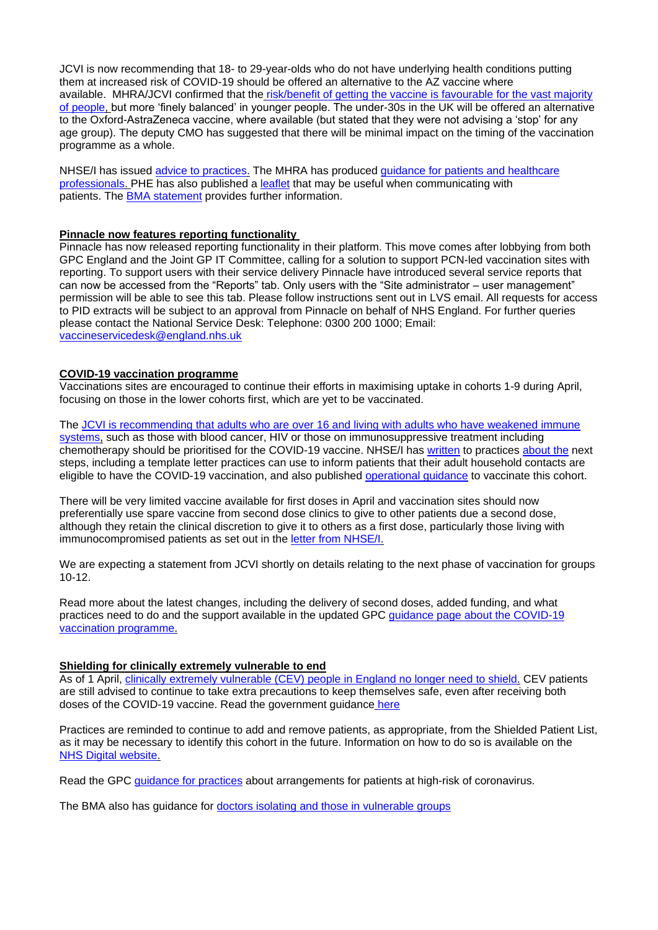JCVI is now recommending that 18- to 29-year-olds who do not have underlying health conditions putting them at increased risk of COVID-19 should be offered an alternative to the AZ vaccine where available. MHRA/JCVI confirmed that the risk/benefit of getting the vaccine is favourable for the vast majority [of people,](https://bma-mail.org.uk/t/JVX-7BJ66-JCJOU4-4EKMVJ-1/c.aspx) but more 'finely balanced' in younger people. The under-30s in the UK will be offered an alternative to the Oxford-AstraZeneca vaccine, where available (but stated that they were not advising a 'stop' for any age group). The deputy CMO has suggested that there will be minimal impact on the timing of the vaccination programme as a whole.

NHSE/I has issued [advice to practices.](https://bma-mail.org.uk/t/JVX-7BJ66-JCJOU4-4EJRK2-1/c.aspx) The MHRA has produced [guidance for patients and healthcare](https://bma-mail.org.uk/t/JVX-7BJ66-JCJOU4-4EJQCT-1/c.aspx)  [professionals.](https://bma-mail.org.uk/t/JVX-7BJ66-JCJOU4-4EJQCT-1/c.aspx) PHE has also published a [leaflet](https://bma-mail.org.uk/t/JVX-7BJ66-JCJOU4-4EK82R-1/c.aspx) that may be useful when communicating with patients. The [BMA statement](https://www.bma.org.uk/bma-media-centre/bma-says-covid-19-vaccination-programme-needs-to-continue-as-the-benefits-still-outweigh-the-very-low-risks-associated-with-the-oxford-jab?utm_source=The%20British%20Medical%20Association&utm_medium=email&utm_campaign=12295374_GP%20ENEWSLETTER%2008042021&utm_content=BMA%20vaccine%20statement&dm_t=0,0,0,0,0) provides further information.

### **Pinnacle now features reporting functionality**

Pinnacle has now released reporting functionality in their platform. This move comes after lobbying from both GPC England and the Joint GP IT Committee, calling for a solution to support PCN-led vaccination sites with reporting. To support users with their service delivery Pinnacle have introduced several service reports that can now be accessed from the "Reports" tab. Only users with the "Site administrator – user management" permission will be able to see this tab. Please follow instructions sent out in LVS email. All requests for access to PID extracts will be subject to an approval from Pinnacle on behalf of NHS England. For further queries please contact the National Service Desk: Telephone: 0300 200 1000; Email: [vaccineservicedesk@england.nhs.uk](mailto:vaccineservicedesk@england.nhs.uk) 

### **COVID-19 vaccination programme**

Vaccinations sites are encouraged to continue their efforts in maximising uptake in cohorts 1-9 during April, focusing on those in the lower cohorts first, which are yet to be vaccinated.

The [JCVI is recommending that adults who are over 16 and living with adults who have weakened immune](https://www.gov.uk/government/news/new-vaccine-advice-for-adults-living-with-adults-who-are-immunosuppressed)  [systems,](https://www.gov.uk/government/news/new-vaccine-advice-for-adults-living-with-adults-who-are-immunosuppressed) such as those with blood cancer, HIV or those on immunosuppressive treatment including chemotherapy should be prioritised for the COVID-19 vaccine. NHSE/I has [written](https://www.england.nhs.uk/coronavirus/publication/vaccination-of-adult-household-contacts-of-severely-immunosuppressed-individuals-alongside-jcvi-priority-cohort-6-and-completion-of-cohorts-1-9/) to practices [about the](https://generalpracticebulletin.cmail20.com/t/d-l-qjttrdd-jlddotjkh-y) next steps, including a template letter practices can use to inform patients that their adult household contacts are eligible to have the COVID-19 vaccination, and also published [operational guidance](https://www.england.nhs.uk/coronavirus/publication/jcvi-cohort-6-adult-household-contacts-of-adults-with-severe-immunosuppression-operational-guide/) to vaccinate this cohort.

There will be very limited vaccine available for first doses in April and vaccination sites should now preferentially use spare vaccine from second dose clinics to give to other patients due a second dose, although they retain the clinical discretion to give it to others as a first dose, particularly those living with immunocompromised patients as set out in the [letter from NHSE/I.](https://www.england.nhs.uk/coronavirus/publication/vaccination-of-adult-household-contacts-of-severely-immunosuppressed-individuals-alongside-jcvi-priority-cohort-6-and-completion-of-cohorts-1-9/)

We are expecting a statement from JCVI shortly on details relating to the next phase of vaccination for groups 10-12.

Read more about the latest changes, including the delivery of second doses, added funding, and what practices need to do and the support available in the updated GPC [guidance page about the COVID-19](https://www.bma.org.uk/advice-and-support/covid-19/gp-practices/covid-19-vaccination-programme)  [vaccination programme.](https://www.bma.org.uk/advice-and-support/covid-19/gp-practices/covid-19-vaccination-programme)

#### **Shielding for clinically extremely vulnerable to end**

As of 1 April, [clinically extremely vulnerable \(CEV\) people in England no longer need to shield.](http://email.dhsc-mail.co.uk/c/eJxdUE1vgzAM_TVwCyIEGBw4dGVo2rW3XSI3MZA1HyiE0v37pVLXSZMt2X5Pfv6QHbycU9UVeUFzRhta5rSqM5od-mHoy9dmaMq3Y0_bpMzlvApiQOlMuGy7pHNXiwrHNq-KBlGUzVg3LbaMiZdKVOe8lqnu5hCWNWGHpBii7_ueTe4au2MRE_TWoA2xsLivMayzQi2VnQjIqxJIRudJmJEIrawSoPU3wVvwaDBm101b9HDWSIIja3ALGb0zBBavdMKGfSGx7aKsxFvC-iIp6i0YLsAsoCYboeNTlj9l-Z8sf-7Dt0VCwF8FZ8N9b9b_e8qDNyjVZiKNd-oBrm7zAiPY4wI-3A_nbuTvCDrMHKzkJycUaH4Ej6nvRvAwf4FB1PH702OISUN3ulEFn_1HUhyRVSJvz9HKCpuRUsqaEaryB41-oVA) CEV patients are still advised to continue to take extra precautions to keep themselves safe, even after receiving both doses of the COVID-19 vaccine. Read the government guidance [here](https://www.gov.uk/government/publications/guidance-on-shielding-and-protecting-extremely-vulnerable-persons-from-covid-19/guidance-on-shielding-and-protecting-extremely-vulnerable-persons-from-covid-19)

Practices are reminded to continue to add and remove patients, as appropriate, from the Shielded Patient List, as it may be necessary to identify this cohort in the future. Information on how to do so is available on the [NHS Digital website.](https://digital.nhs.uk/coronavirus/shielded-patient-list/guidance-for-general-practice)

Read the GPC [guidance for practices](https://www.bma.org.uk/advice-and-support/covid-19/gp-practices/covid-19-toolkit-for-gps-and-gp-practices/protecting-clinically-extremely-vulnerable-cev-patients-formerly-shielding) about arrangements for patients at high-risk of coronavirus.

The BMA also has guidance for [doctors isolating and those in vulnerable groups](https://www.bma.org.uk/advice-and-support/covid-19/your-health/covid-19-doctors-isolating-and-those-in-vulnerable-groups)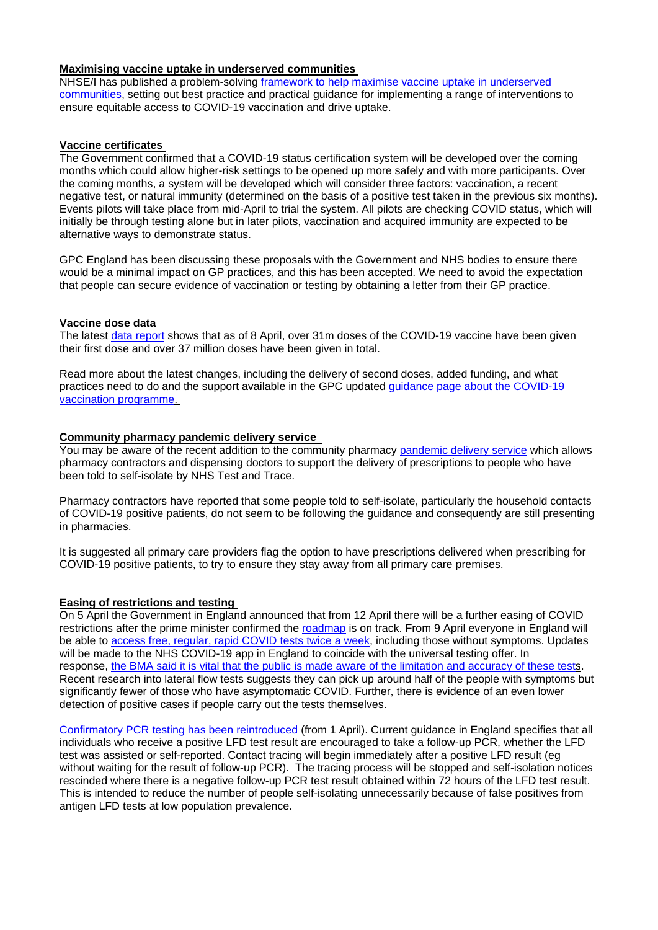### **Maximising vaccine uptake in underserved communities**

NHSE/I has published a problem-solving [framework to help maximise vaccine uptake in underserved](https://www.england.nhs.uk/coronavirus/publication/maximising-vaccine-uptake-in-underserved-communities-a-framework/)  [communities,](https://www.england.nhs.uk/coronavirus/publication/maximising-vaccine-uptake-in-underserved-communities-a-framework/) setting out best practice and practical guidance for implementing a range of interventions to ensure equitable access to COVID-19 vaccination and drive uptake.

### **Vaccine certificates**

The Government confirmed that a COVID-19 status certification system will be developed over the coming months which could allow higher-risk settings to be opened up more safely and with more participants. Over the coming months, a system will be developed which will consider three factors: vaccination, a recent negative test, or natural immunity (determined on the basis of a positive test taken in the previous six months). Events pilots will take place from mid-April to trial the system. All pilots are checking COVID status, which will initially be through testing alone but in later pilots, vaccination and acquired immunity are expected to be alternative ways to demonstrate status.

GPC England has been discussing these proposals with the Government and NHS bodies to ensure there would be a minimal impact on GP practices, and this has been accepted. We need to avoid the expectation that people can secure evidence of vaccination or testing by obtaining a letter from their GP practice.

### **Vaccine dose data**

The latest [data report](https://bma-mail.org.uk/t/JVX-7BJ66-JCJOU4-4EJN0B-1/c.aspx) shows that as of 8 April, over 31m doses of the COVID-19 vaccine have been given their first dose and over 37 million doses have been given in total.

Read more about the latest changes, including the delivery of second doses, added funding, and what practices need to do and the support available in the GPC updated [guidance page about the COVID-19](https://www.bma.org.uk/advice-and-support/covid-19/gp-practices/covid-19-vaccination-programme)  [vaccination programme.](https://www.bma.org.uk/advice-and-support/covid-19/gp-practices/covid-19-vaccination-programme)

# **Community pharmacy pandemic delivery service**

You may be aware of the recent addition to the community pharmacy [pandemic delivery service](https://psnc.org.uk/our-news/service-launch-the-community-pharmacy-pandemic-delivery-service/) which allows pharmacy contractors and dispensing doctors to support the delivery of prescriptions to people who have been told to self-isolate by NHS Test and Trace.

Pharmacy contractors have reported that some people told to self-isolate, particularly the household contacts of COVID-19 positive patients, do not seem to be following the guidance and consequently are still presenting in pharmacies.

It is suggested all primary care providers flag the option to have prescriptions delivered when prescribing for COVID-19 positive patients, to try to ensure they stay away from all primary care premises.

# **Easing of restrictions and testing**

On 5 April the Government in England announced that from 12 April there will be a further easing of COVID restrictions after the prime minister confirmed the [roadmap](https://bma-mail.org.uk/t/JVX-7BJ66-JCJOU4-4EJOSL-1/c.aspx) is on track. From 9 April everyone in England will be able to [access free, regular, rapid COVID tests twice a week,](https://bma-mail.org.uk/t/JVX-7BJ66-JCJOU4-4EK82S-1/c.aspx) including those without symptoms. Updates will be made to the NHS COVID-19 app in England to coincide with the universal testing offer. In response, [the BMA said it is vital that the public is made aware of the limitation and accuracy of these tests](https://bma-mail.org.uk/t/JVX-7BJ66-JCJOU4-4EJOSM-1/c.aspx). Recent research into lateral flow tests suggests they can pick up around half of the people with symptoms but significantly fewer of those who have asymptomatic COVID. Further, there is evidence of an even lower detection of positive cases if people carry out the tests themselves.

[Confirmatory PCR testing has been reintroduced](https://bma-mail.org.uk/t/JVX-7BJ66-JCJOU4-4EJOSN-1/c.aspx) (from 1 April). Current guidance in England specifies that all individuals who receive a positive LFD test result are encouraged to take a follow-up PCR, whether the LFD test was assisted or self-reported. Contact tracing will begin immediately after a positive LFD result (eg without waiting for the result of follow-up PCR). The tracing process will be stopped and self-isolation notices rescinded where there is a negative follow-up PCR test result obtained within 72 hours of the LFD test result. This is intended to reduce the number of people self-isolating unnecessarily because of false positives from antigen LFD tests at low population prevalence.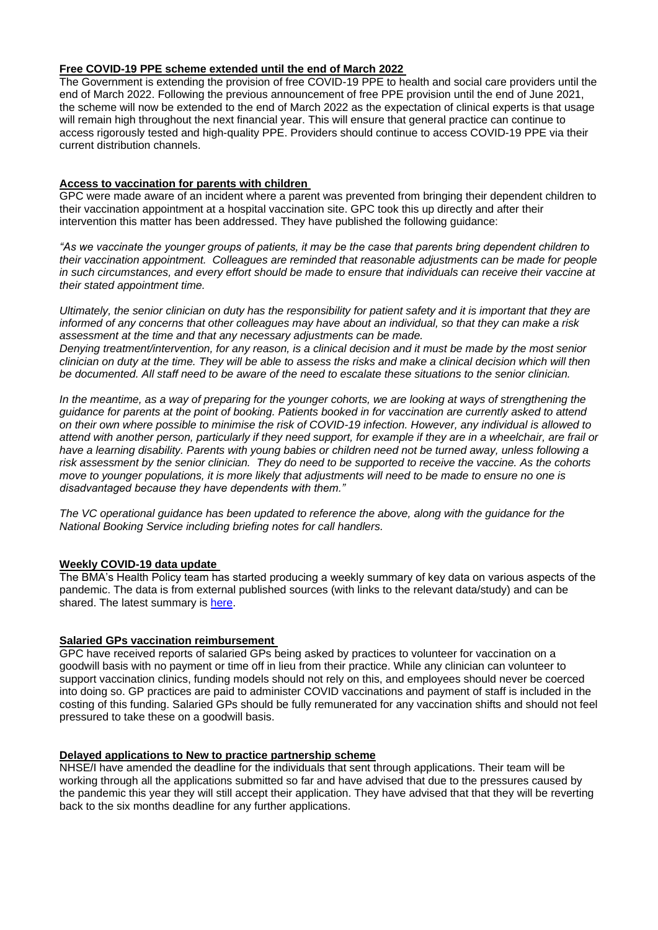# **Free COVID-19 PPE scheme extended until the end of March 2022**

The Government is extending the provision of free COVID-19 PPE to health and social care providers until the end of March 2022. Following the previous announcement of free PPE provision until the end of June 2021, the scheme will now be extended to the end of March 2022 as the expectation of clinical experts is that usage will remain high throughout the next financial year. This will ensure that general practice can continue to access rigorously tested and high-quality PPE. Providers should continue to access COVID-19 PPE via their current distribution channels.

# **Access to vaccination for parents with children**

GPC were made aware of an incident where a parent was prevented from bringing their dependent children to their vaccination appointment at a hospital vaccination site. GPC took this up directly and after their intervention this matter has been addressed. They have published the following guidance:

*"As we vaccinate the younger groups of patients, it may be the case that parents bring dependent children to their vaccination appointment. Colleagues are reminded that reasonable adjustments can be made for people in such circumstances, and every effort should be made to ensure that individuals can receive their vaccine at their stated appointment time.*

*Ultimately, the senior clinician on duty has the responsibility for patient safety and it is important that they are informed of any concerns that other colleagues may have about an individual, so that they can make a risk assessment at the time and that any necessary adjustments can be made.* 

*Denying treatment/intervention, for any reason, is a clinical decision and it must be made by the most senior clinician on duty at the time. They will be able to assess the risks and make a clinical decision which will then be documented. All staff need to be aware of the need to escalate these situations to the senior clinician.*

*In the meantime, as a way of preparing for the younger cohorts, we are looking at ways of strengthening the guidance for parents at the point of booking. Patients booked in for vaccination are currently asked to attend on their own where possible to minimise the risk of COVID-19 infection. However, any individual is allowed to attend with another person, particularly if they need support, for example if they are in a wheelchair, are frail or have a learning disability. Parents with young babies or children need not be turned away, unless following a risk assessment by the senior clinician. They do need to be supported to receive the vaccine. As the cohorts move to younger populations, it is more likely that adjustments will need to be made to ensure no one is disadvantaged because they have dependents with them."*

*The VC operational guidance has been updated to reference the above, along with the guidance for the National Booking Service including briefing notes for call handlers.*

# **Weekly COVID-19 data update**

The BMA's Health Policy team has started producing a weekly summary of key data on various aspects of the pandemic. The data is from external published sources (with links to the relevant data/study) and can be shared. The latest summary is [here.](https://www.clevelandlmc.org.uk/website/IGP367/files/Weekly%20Covid-19%20data%20update.pptx)

# **Salaried GPs vaccination reimbursement**

GPC have received reports of salaried GPs being asked by practices to volunteer for vaccination on a goodwill basis with no payment or time off in lieu from their practice. While any clinician can volunteer to support vaccination clinics, funding models should not rely on this, and employees should never be coerced into doing so. GP practices are paid to administer COVID vaccinations and payment of staff is included in the costing of this funding. Salaried GPs should be fully remunerated for any vaccination shifts and should not feel pressured to take these on a goodwill basis.

# **Delayed applications to New to practice partnership scheme**

NHSE/I have amended the deadline for the individuals that sent through applications. Their team will be working through all the applications submitted so far and have advised that due to the pressures caused by the pandemic this year they will still accept their application. They have advised that that they will be reverting back to the six months deadline for any further applications.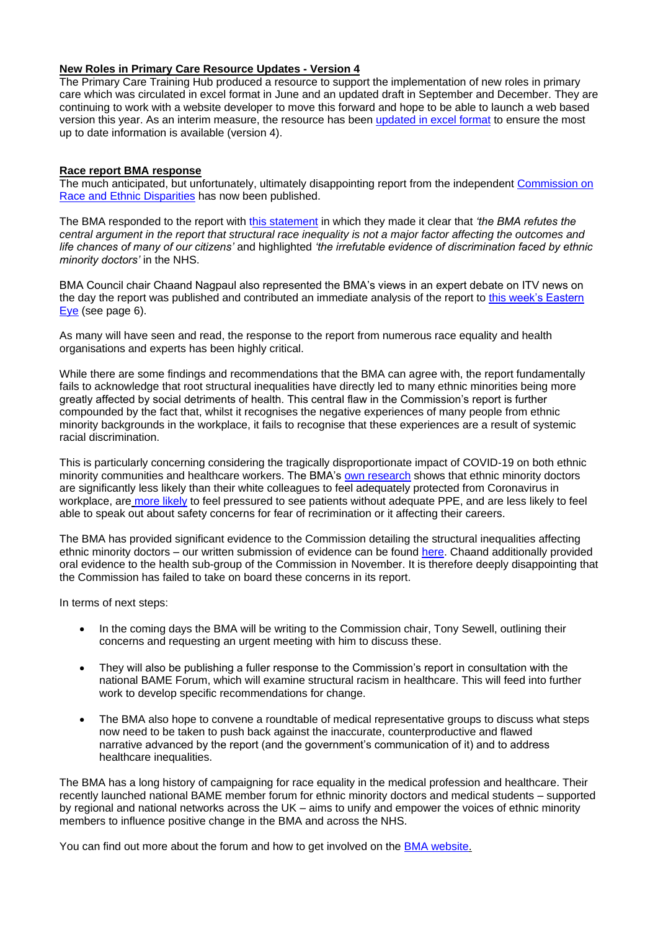### **New Roles in Primary Care Resource Updates - Version 4**

The Primary Care Training Hub produced a resource to support the implementation of new roles in primary care which was circulated in excel format in June and an updated draft in September and December. They are continuing to work with a website developer to move this forward and hope to be able to launch a web based version this year. As an interim measure, the resource has been updated [in excel format](file:///C:/Users/User/Desktop/2%20Worksheet%20in%20C%20%20Users%20User%20Downloads%20CLMC%20Bulletin%20%20template%20(10).xlsm) to ensure the most up to date information is available (version 4).

### **Race report BMA response**

The much anticipated, but unfortunately, ultimately disappointing report from the independent [Commission on](https://www.gov.uk/government/organisations/commission-on-race-and-ethnic-disparities)  [Race and Ethnic Disparities](https://www.gov.uk/government/organisations/commission-on-race-and-ethnic-disparities) has now been published.

The BMA responded to the report with [this statement](https://www.bma.org.uk/bma-media-centre/bma-responds-to-commission-on-race-and-ethnic-disparities-report) in which they made it clear that *'the BMA refutes the central argument in the report that structural race inequality is not a major factor affecting the outcomes and life chances of many of our citizens'* and highlighted *'the irrefutable evidence of discrimination faced by ethnic minority doctors'* in the NHS.

BMA Council chair Chaand Nagpaul also represented the BMA's views in an expert debate on ITV news on the day the report was published and contributed an immediate analysis of the report to [this week's Eastern](https://www.easterneye.biz/digital/issue1604)  [Eye](https://www.easterneye.biz/digital/issue1604) (see page 6).

As many will have seen and read, the response to the report from numerous race equality and health organisations and experts has been highly critical.

While there are some findings and recommendations that the BMA can agree with, the report fundamentally fails to acknowledge that root structural inequalities have directly led to many ethnic minorities being more greatly affected by social detriments of health. This central flaw in the Commission's report is further compounded by the fact that, whilst it recognises the negative experiences of many people from ethnic minority backgrounds in the workplace, it fails to recognise that these experiences are a result of systemic racial discrimination.

This is particularly concerning considering the tragically disproportionate impact of COVID-19 on both ethnic minority communities and healthcare workers. The BMA'[s own research](https://www.bma.org.uk/bma-media-centre/bma-survey-shows-a-year-on-black-asian-and-other-minority-ethnicity-doctors-still-don-t-feel-protected-from-coronavirus-in-the-workplace) shows that ethnic minority doctors are significantly less likely than their white colleagues to feel adequately protected from Coronavirus in workplace, are [more likely](https://www.bma.org.uk/bma-media-centre/bame-doctors-being-placed-at-risk-due-to-lack-of-covid-19-risk-assessments-bma-survey-reveals) to feel pressured to see patients without adequate PPE, and are less likely to feel able to speak out about safety concerns for fear of recrimination or it affecting their careers.

The BMA has provided significant evidence to the Commission detailing the structural inequalities affecting ethnic minority doctors – our written submission of evidence can be found [here.](https://www.bma.org.uk/media/3583/bma-submission-race-disparities-and-ineqaulity-in-the-uk.pdf) Chaand additionally provided oral evidence to the health sub-group of the Commission in November. It is therefore deeply disappointing that the Commission has failed to take on board these concerns in its report.

In terms of next steps:

- In the coming days the BMA will be writing to the Commission chair, Tony Sewell, outlining their concerns and requesting an urgent meeting with him to discuss these.
- They will also be publishing a fuller response to the Commission's report in consultation with the national BAME Forum, which will examine structural racism in healthcare. This will feed into further work to develop specific recommendations for change.
- The BMA also hope to convene a roundtable of medical representative groups to discuss what steps now need to be taken to push back against the inaccurate, counterproductive and flawed narrative advanced by the report (and the government's communication of it) and to address healthcare inequalities.

The BMA has a long history of campaigning for race equality in the medical profession and healthcare. Their recently launched national BAME member forum for ethnic minority doctors and medical students – supported by regional and national networks across the UK – aims to unify and empower the voices of ethnic minority members to influence positive change in the BMA and across the NHS.

You can find out more about the forum and how to get involved on the [BMA website.](https://www.bma.org.uk/about-us/equality-diversity-and-inclusion/edi/national-bame-member-forum)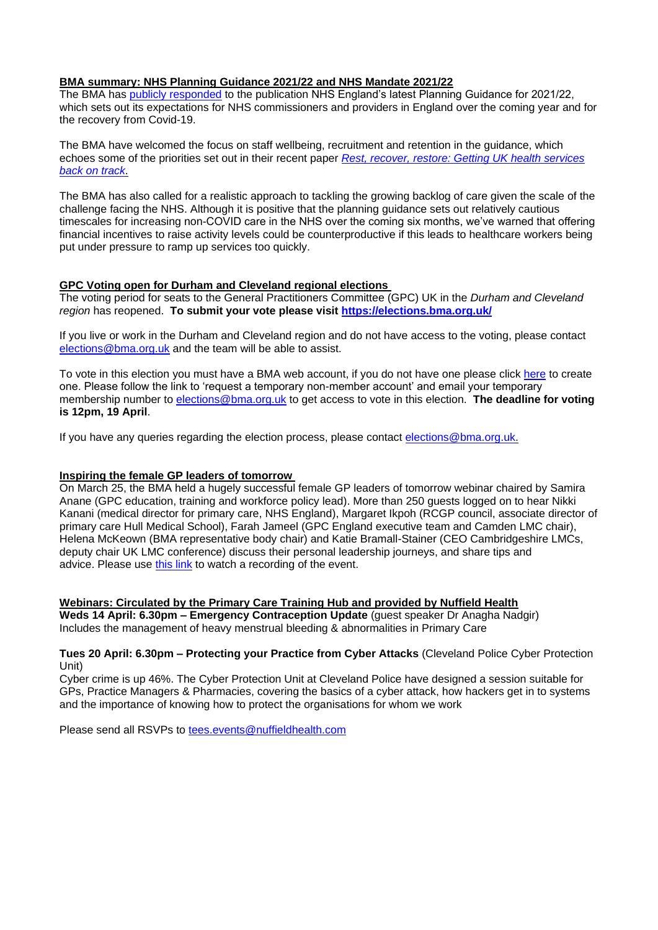### **BMA summary: NHS Planning Guidance 2021/22 and NHS Mandate 2021/22**

The BMA has [publicly responded](https://www.bma.org.uk/bma-media-centre/backlog-funding-promises-must-be-fulfilled-to-support-walking-wounded-nhs-says-bma) to the publication NHS England's latest Planning Guidance for 2021/22, which sets out its expectations for NHS commissioners and providers in England over the coming year and for the recovery from Covid-19.

The BMA have welcomed the focus on staff wellbeing, recruitment and retention in the guidance, which echoes some of the priorities set out in their recent paper *[Rest, recover, restore: Getting UK health services](https://www.bma.org.uk/media/3910/nhs-staff-recover-report-final.pdf)  [back on track](https://www.bma.org.uk/media/3910/nhs-staff-recover-report-final.pdf)*.

The BMA has also called for a realistic approach to tackling the growing backlog of care given the scale of the challenge facing the NHS. Although it is positive that the planning guidance sets out relatively cautious timescales for increasing non-COVID care in the NHS over the coming six months, we've warned that offering financial incentives to raise activity levels could be counterproductive if this leads to healthcare workers being put under pressure to ramp up services too quickly.

### **GPC Voting open for Durham and Cleveland regional elections**

The voting period for seats to the General Practitioners Committee (GPC) UK in the *Durham and Cleveland region* has reopened. **To submit your vote please visit<https://elections.bma.org.uk/>**

If you live or work in the Durham and Cleveland region and do not have access to the voting, please contact [elections@bma.org.uk](mailto:elections@bma.org.uk) and the team will be able to assist.

To vote in this election you must have a BMA web account, if you do not have one please click [here](https://www.bma.org.uk/what-we-do/committees/committee-information/committee-elections) to create one. Please follow the link to 'request a temporary non-member account' and email your temporary membership number to [elections@bma.org.uk](mailto:elections@bma.org.uk) to get access to vote in this election. **The deadline for voting is 12pm, 19 April**.

If you have any queries regarding the election process, please contact [elections@bma.org.uk.](mailto:elections@bma.org.uk)

#### **Inspiring the female GP leaders of tomorrow**

On March 25, the BMA held a hugely successful female GP leaders of tomorrow webinar chaired by Samira Anane (GPC education, training and workforce policy lead). More than 250 guests logged on to hear Nikki Kanani (medical director for primary care, NHS England), Margaret Ikpoh (RCGP council, associate director of primary care Hull Medical School), Farah Jameel (GPC England executive team and Camden LMC chair), Helena McKeown (BMA representative body chair) and Katie Bramall-Stainer (CEO Cambridgeshire LMCs, deputy chair UK LMC conference) discuss their personal leadership journeys, and share tips and advice. Please use [this link](https://www.bma.org.uk/about-us/equality-diversity-and-inclusion/edi/bma-network-of-elected-women?utm_source=The%20British%20Medical%20Association&utm_medium=email&utm_campaign=12295374_GP%20ENEWSLETTER%2008042021&utm_content=GP%20leader%20event&dm_t=0,0,0,0,0) to watch a recording of the event.

**Webinars: Circulated by the Primary Care Training Hub and provided by Nuffield Health Weds 14 April: 6.30pm – Emergency Contraception Update** (guest speaker Dr Anagha Nadgir) Includes the management of heavy menstrual bleeding & abnormalities in Primary Care

#### **Tues 20 April: 6.30pm – Protecting your Practice from Cyber Attacks** (Cleveland Police Cyber Protection Unit)

Cyber crime is up 46%. The Cyber Protection Unit at Cleveland Police have designed a session suitable for GPs, Practice Managers & Pharmacies, covering the basics of a cyber attack, how hackers get in to systems and the importance of knowing how to protect the organisations for whom we work

Please send all RSVPs to [tees.events@nuffieldhealth.com](mailto:tees.events@nuffieldhealth.com)